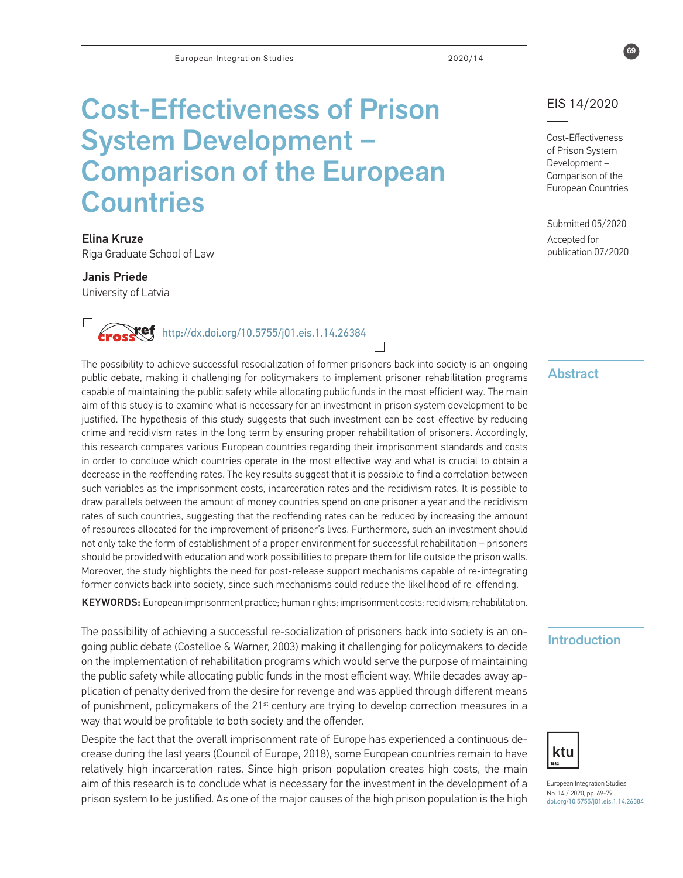# Cost-Effectiveness of Prison System Development – Comparison of the European **Countries**

Elina Kruze Riga Graduate School of Law

Janis Priede University of Latvia

http://dx.doi.org/10.5755/j01.eis.1.14.26384

The possibility to achieve successful resocialization of former prisoners back into society is an ongoing public debate, making it challenging for policymakers to implement prisoner rehabilitation programs capable of maintaining the public safety while allocating public funds in the most efficient way. The main aim of this study is to examine what is necessary for an investment in prison system development to be justified. The hypothesis of this study suggests that such investment can be cost-effective by reducing crime and recidivism rates in the long term by ensuring proper rehabilitation of prisoners. Accordingly, this research compares various European countries regarding their imprisonment standards and costs in order to conclude which countries operate in the most effective way and what is crucial to obtain a decrease in the reoffending rates. The key results suggest that it is possible to find a correlation between such variables as the imprisonment costs, incarceration rates and the recidivism rates. It is possible to draw parallels between the amount of money countries spend on one prisoner a year and the recidivism rates of such countries, suggesting that the reoffending rates can be reduced by increasing the amount of resources allocated for the improvement of prisoner's lives. Furthermore, such an investment should not only take the form of establishment of a proper environment for successful rehabilitation – prisoners should be provided with education and work possibilities to prepare them for life outside the prison walls. Moreover, the study highlights the need for post-release support mechanisms capable of re-integrating former convicts back into society, since such mechanisms could reduce the likelihood of re-offending.

KEYWORDS: European imprisonment practice; human rights; imprisonment costs; recidivism; rehabilitation.

The possibility of achieving a successful re-socialization of prisoners back into society is an ongoing public debate (Costelloe & Warner, 2003) making it challenging for policymakers to decide on the implementation of rehabilitation programs which would serve the purpose of maintaining the public safety while allocating public funds in the most efficient way. While decades away application of penalty derived from the desire for revenge and was applied through different means of punishment, policymakers of the 21<sup>st</sup> century are trying to develop correction measures in a way that would be profitable to both society and the offender.

Despite the fact that the overall imprisonment rate of Europe has experienced a continuous decrease during the last years (Council of Europe, 2018), some European countries remain to have relatively high incarceration rates. Since high prison population creates high costs, the main aim of this research is to conclude what is necessary for the investment in the development of a prison system to be justified. As one of the major causes of the high prison population is the high

## EIS 14/2020

69

Cost-Effectiveness of Prison System Development – Comparison of the European Countries

Submitted 05/2020 Accepted for publication 07/2020

# **Abstract**

# Introduction



European Integration Studies No. 14 / 2020, pp. 69-79 [doi.org/10.5755/j01.eis.](http://doi.org/10.5755/j01.eis.0.13.24033)1.14.26384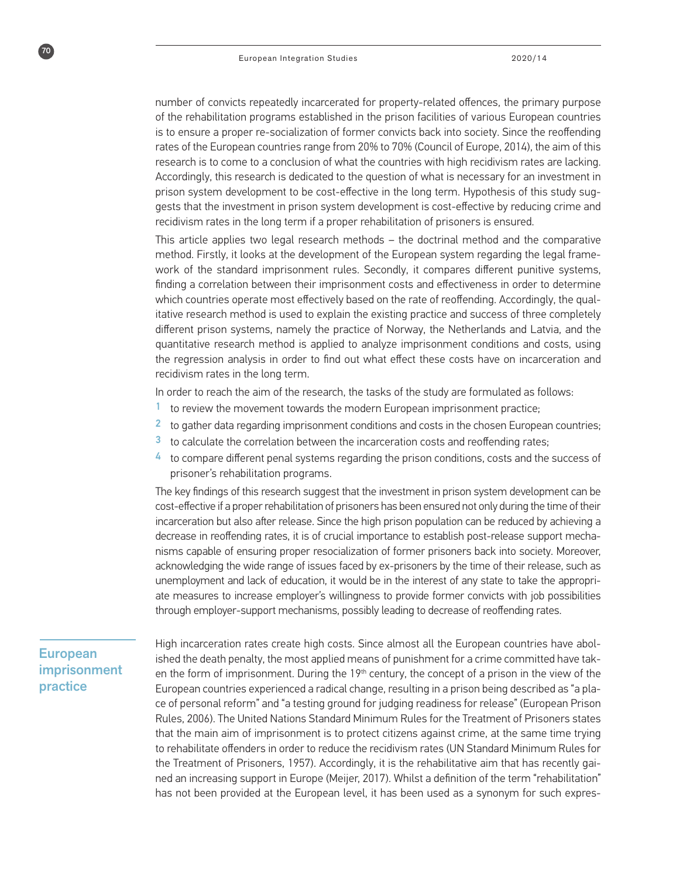number of convicts repeatedly incarcerated for property-related offences, the primary purpose of the rehabilitation programs established in the prison facilities of various European countries is to ensure a proper re-socialization of former convicts back into society. Since the reoffending rates of the European countries range from 20% to 70% (Council of Europe, 2014), the aim of this research is to come to a conclusion of what the countries with high recidivism rates are lacking. Accordingly, this research is dedicated to the question of what is necessary for an investment in prison system development to be cost-effective in the long term. Hypothesis of this study suggests that the investment in prison system development is cost-effective by reducing crime and recidivism rates in the long term if a proper rehabilitation of prisoners is ensured.

This article applies two legal research methods – the doctrinal method and the comparative method. Firstly, it looks at the development of the European system regarding the legal framework of the standard imprisonment rules. Secondly, it compares different punitive systems, finding a correlation between their imprisonment costs and effectiveness in order to determine which countries operate most effectively based on the rate of reoffending. Accordingly, the qualitative research method is used to explain the existing practice and success of three completely different prison systems, namely the practice of Norway, the Netherlands and Latvia, and the quantitative research method is applied to analyze imprisonment conditions and costs, using the regression analysis in order to find out what effect these costs have on incarceration and recidivism rates in the long term.

In order to reach the aim of the research, the tasks of the study are formulated as follows:

- to review the movement towards the modern European imprisonment practice;
- <sup>2</sup> to gather data regarding imprisonment conditions and costs in the chosen European countries;
- 3 to calculate the correlation between the incarceration costs and reoffending rates;
- 4 to compare different penal systems regarding the prison conditions, costs and the success of prisoner's rehabilitation programs.

The key findings of this research suggest that the investment in prison system development can be cost-effective if a proper rehabilitation of prisoners has been ensured not only during the time of their incarceration but also after release. Since the high prison population can be reduced by achieving a decrease in reoffending rates, it is of crucial importance to establish post-release support mechanisms capable of ensuring proper resocialization of former prisoners back into society. Moreover, acknowledging the wide range of issues faced by ex-prisoners by the time of their release, such as unemployment and lack of education, it would be in the interest of any state to take the appropriate measures to increase employer's willingness to provide former convicts with job possibilities through employer-support mechanisms, possibly leading to decrease of reoffending rates.

# European imprisonment practice

70

High incarceration rates create high costs. Since almost all the European countries have abolished the death penalty, the most applied means of punishment for a crime committed have taken the form of imprisonment. During the  $19<sup>th</sup>$  century, the concept of a prison in the view of the European countries experienced a radical change, resulting in a prison being described as "a place of personal reform" and "a testing ground for judging readiness for release" (European Prison Rules, 2006). The United Nations Standard Minimum Rules for the Treatment of Prisoners states that the main aim of imprisonment is to protect citizens against crime, at the same time trying to rehabilitate offenders in order to reduce the recidivism rates (UN Standard Minimum Rules for the Treatment of Prisoners, 1957). Accordingly, it is the rehabilitative aim that has recently gained an increasing support in Europe (Meijer, 2017). Whilst a definition of the term "rehabilitation" has not been provided at the European level, it has been used as a synonym for such expres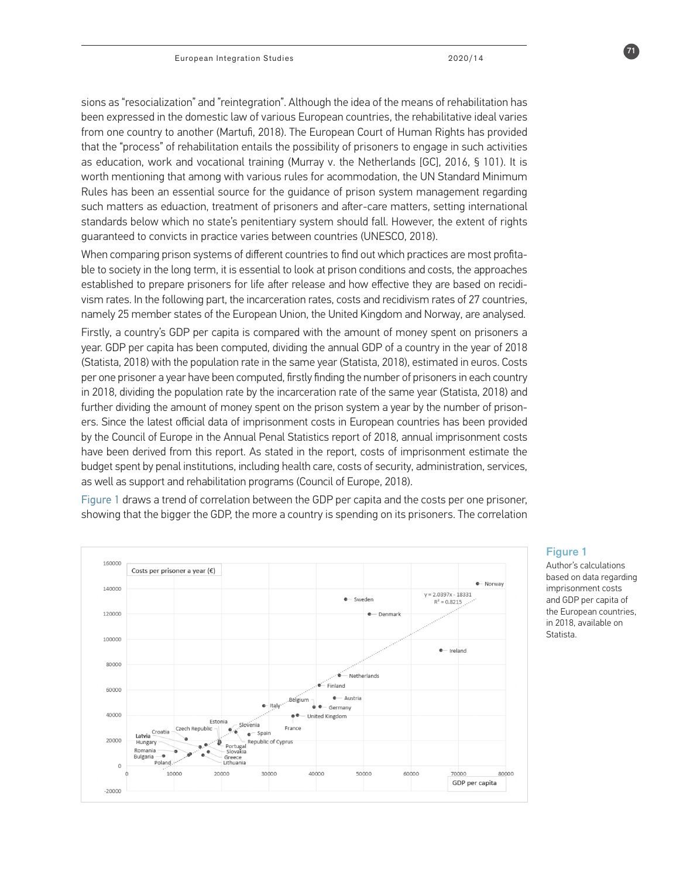sions as "resocialization" and "reintegration". Although the idea of the means of rehabilitation has been expressed in the domestic law of various European countries, the rehabilitative ideal varies from one country to another (Martufi, 2018). The European Court of Human Rights has provided that the "process" of rehabilitation entails the possibility of prisoners to engage in such activities as education, work and vocational training (Murray v. the Netherlands [GC], 2016, § 101). It is worth mentioning that among with various rules for acommodation, the UN Standard Minimum Rules has been an essential source for the guidance of prison system management regarding such matters as eduaction, treatment of prisoners and after-care matters, setting international standards below which no state's penitentiary system should fall. However, the extent of rights guaranteed to convicts in practice varies between countries (UNESCO, 2018).

When comparing prison systems of different countries to find out which practices are most profitable to society in the long term, it is essential to look at prison conditions and costs, the approaches established to prepare prisoners for life after release and how effective they are based on recidivism rates. In the following part, the incarceration rates, costs and recidivism rates of 27 countries, namely 25 member states of the European Union, the United Kingdom and Norway, are analysed.

Firstly, a country's GDP per capita is compared with the amount of money spent on prisoners a year. GDP per capita has been computed, dividing the annual GDP of a country in the year of 2018 (Statista, 2018) with the population rate in the same year (Statista, 2018), estimated in euros. Costs per one prisoner a year have been computed, firstly finding the number of prisoners in each country in 2018, dividing the population rate by the incarceration rate of the same year (Statista, 2018) and further dividing the amount of money spent on the prison system a year by the number of prisoners. Since the latest official data of imprisonment costs in European countries has been provided by the Council of Europe in the Annual Penal Statistics report of 2018, annual imprisonment costs have been derived from this report. As stated in the report, costs of imprisonment estimate the budget spent by penal institutions, including health care, costs of security, administration, services, as well as support and rehabilitation programs (Council of Europe, 2018).

Figure 1 draws a trend of correlation between the GDP per capita and the costs per one prisoner, showing that the bigger the GDP, the more a country is spending on its prisoners. The correlation



### Figure 1

Author's calculations based on data regarding imprisonment costs and GDP per capita of the European countries, in 2018, available on Statista.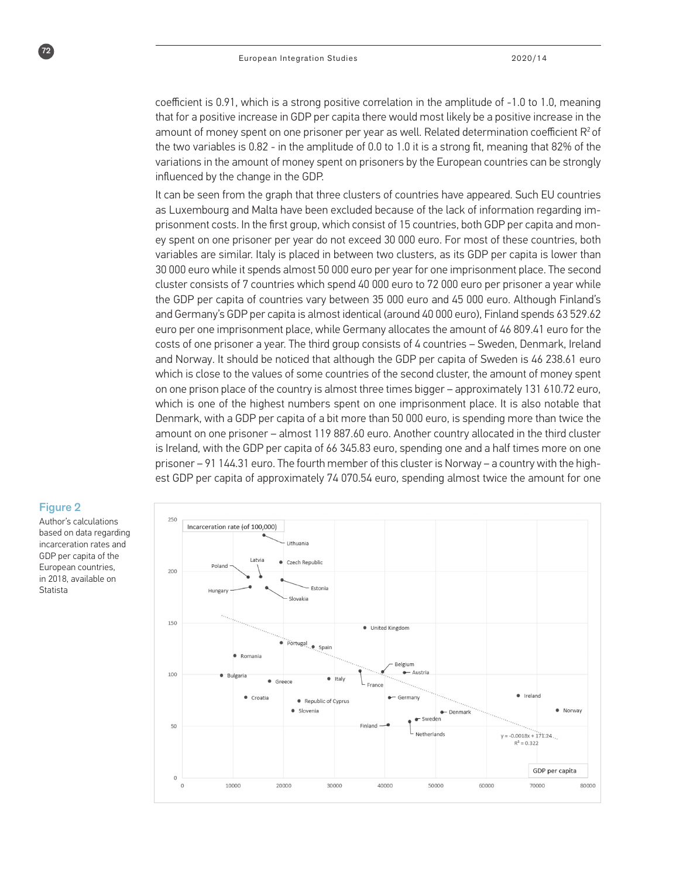coefficient is 0.91, which is a strong positive correlation in the amplitude of -1.0 to 1.0, meaning that for a positive increase in GDP per capita there would most likely be a positive increase in the amount of money spent on one prisoner per year as well. Related determination coefficient  $R^2$  of the two variables is 0.82 - in the amplitude of 0.0 to 1.0 it is a strong fit, meaning that 82% of the variations in the amount of money spent on prisoners by the European countries can be strongly influenced by the change in the GDP.

It can be seen from the graph that three clusters of countries have appeared. Such EU countries as Luxembourg and Malta have been excluded because of the lack of information regarding imprisonment costs. In the first group, which consist of 15 countries, both GDP per capita and money spent on one prisoner per year do not exceed 30 000 euro. For most of these countries, both variables are similar. Italy is placed in between two clusters, as its GDP per capita is lower than 30 000 euro while it spends almost 50 000 euro per year for one imprisonment place. The second cluster consists of 7 countries which spend 40 000 euro to 72 000 euro per prisoner a year while the GDP per capita of countries vary between 35 000 euro and 45 000 euro. Although Finland's and Germany's GDP per capita is almost identical (around 40 000 euro), Finland spends 63 529.62 euro per one imprisonment place, while Germany allocates the amount of 46 809.41 euro for the costs of one prisoner a year. The third group consists of 4 countries – Sweden, Denmark, Ireland and Norway. It should be noticed that although the GDP per capita of Sweden is 46 238.61 euro which is close to the values of some countries of the second cluster, the amount of money spent on one prison place of the country is almost three times bigger – approximately 131 610.72 euro, which is one of the highest numbers spent on one imprisonment place. It is also notable that Denmark, with a GDP per capita of a bit more than 50 000 euro, is spending more than twice the amount on one prisoner – almost 119 887.60 euro. Another country allocated in the third cluster is Ireland, with the GDP per capita of 66 345.83 euro, spending one and a half times more on one prisoner – 91 144.31 euro. The fourth member of this cluster is Norway – a country with the highest GDP per capita of approximately 74 070.54 euro, spending almost twice the amount for one



### Figure 2

 $\sqrt{72}$ 

Author's calculations based on data regarding incarceration rates and GDP per capita of the European countries, in 2018, available on Statista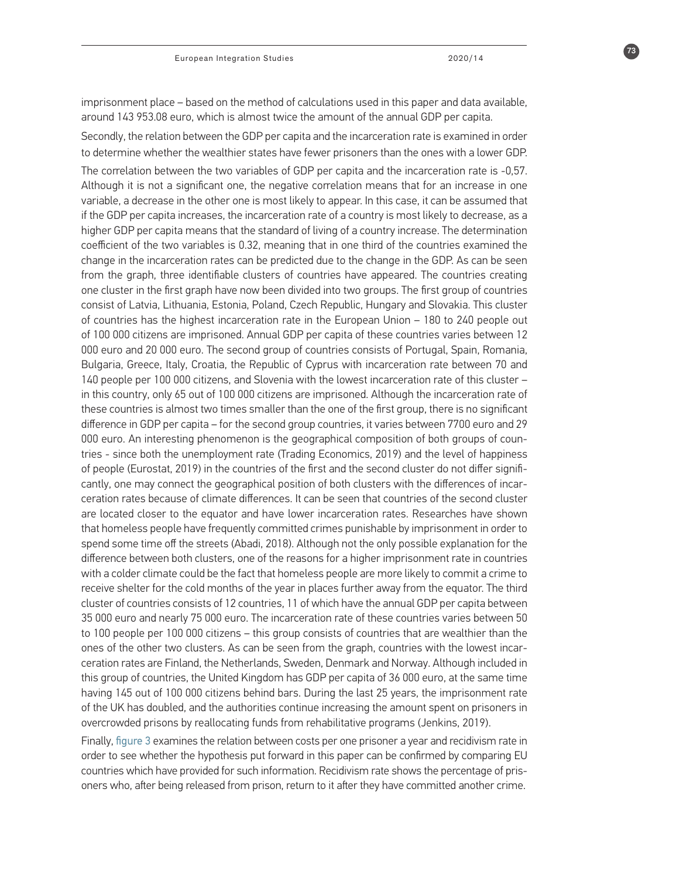imprisonment place – based on the method of calculations used in this paper and data available, around 143 953.08 euro, which is almost twice the amount of the annual GDP per capita.

Secondly, the relation between the GDP per capita and the incarceration rate is examined in order to determine whether the wealthier states have fewer prisoners than the ones with a lower GDP. The correlation between the two variables of GDP per capita and the incarceration rate is -0,57. Although it is not a significant one, the negative correlation means that for an increase in one variable, a decrease in the other one is most likely to appear. In this case, it can be assumed that if the GDP per capita increases, the incarceration rate of a country is most likely to decrease, as a higher GDP per capita means that the standard of living of a country increase. The determination coefficient of the two variables is 0.32, meaning that in one third of the countries examined the change in the incarceration rates can be predicted due to the change in the GDP. As can be seen from the graph, three identifiable clusters of countries have appeared. The countries creating one cluster in the first graph have now been divided into two groups. The first group of countries consist of Latvia, Lithuania, Estonia, Poland, Czech Republic, Hungary and Slovakia. This cluster of countries has the highest incarceration rate in the European Union – 180 to 240 people out of 100 000 citizens are imprisoned. Annual GDP per capita of these countries varies between 12 000 euro and 20 000 euro. The second group of countries consists of Portugal, Spain, Romania, Bulgaria, Greece, Italy, Croatia, the Republic of Cyprus with incarceration rate between 70 and 140 people per 100 000 citizens, and Slovenia with the lowest incarceration rate of this cluster – in this country, only 65 out of 100 000 citizens are imprisoned. Although the incarceration rate of these countries is almost two times smaller than the one of the first group, there is no significant difference in GDP per capita – for the second group countries, it varies between 7700 euro and 29 000 euro. An interesting phenomenon is the geographical composition of both groups of countries - since both the unemployment rate (Trading Economics, 2019) and the level of happiness of people (Eurostat, 2019) in the countries of the first and the second cluster do not differ significantly, one may connect the geographical position of both clusters with the differences of incarceration rates because of climate differences. It can be seen that countries of the second cluster are located closer to the equator and have lower incarceration rates. Researches have shown that homeless people have frequently committed crimes punishable by imprisonment in order to spend some time off the streets (Abadi, 2018). Although not the only possible explanation for the difference between both clusters, one of the reasons for a higher imprisonment rate in countries with a colder climate could be the fact that homeless people are more likely to commit a crime to receive shelter for the cold months of the year in places further away from the equator. The third cluster of countries consists of 12 countries, 11 of which have the annual GDP per capita between 35 000 euro and nearly 75 000 euro. The incarceration rate of these countries varies between 50 to 100 people per 100 000 citizens – this group consists of countries that are wealthier than the ones of the other two clusters. As can be seen from the graph, countries with the lowest incarceration rates are Finland, the Netherlands, Sweden, Denmark and Norway. Although included in this group of countries, the United Kingdom has GDP per capita of 36 000 euro, at the same time having 145 out of 100 000 citizens behind bars. During the last 25 years, the imprisonment rate of the UK has doubled, and the authorities continue increasing the amount spent on prisoners in overcrowded prisons by reallocating funds from rehabilitative programs (Jenkins, 2019).

Finally, figure 3 examines the relation between costs per one prisoner a year and recidivism rate in order to see whether the hypothesis put forward in this paper can be confirmed by comparing EU countries which have provided for such information. Recidivism rate shows the percentage of prisoners who, after being released from prison, return to it after they have committed another crime.

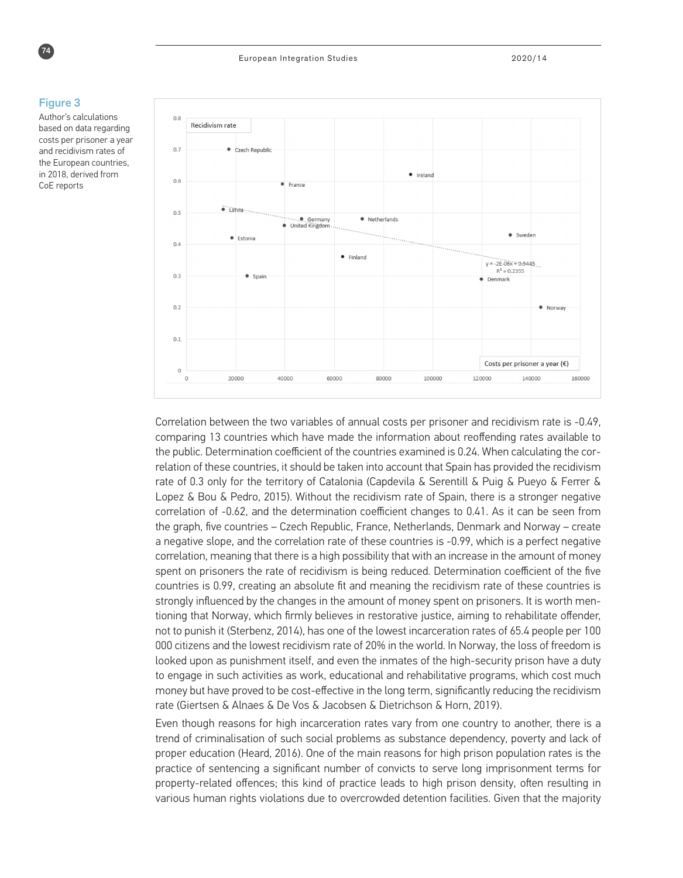

#### Figure 3

Author's calculations based on data regarding costs per prisoner a year and recidivism rates of the European countries, in 2018, derived from CoE reports



Correlation between the two variables of annual costs per prisoner and recidivism rate is -0.49, comparing 13 countries which have made the information about reoffending rates available to the public. Determination coefficient of the countries examined is 0.24. When calculating the correlation of these countries, it should be taken into account that Spain has provided the recidivism rate of 0.3 only for the territory of Catalonia (Capdevila & Serentill & Puig & Pueyo & Ferrer & Lopez & Bou & Pedro, 2015). Without the recidivism rate of Spain, there is a stronger negative correlation of -0.62, and the determination coefficient changes to 0.41. As it can be seen from the graph, five countries – Czech Republic, France, Netherlands, Denmark and Norway – create a negative slope, and the correlation rate of these countries is -0.99, which is a perfect negative correlation, meaning that there is a high possibility that with an increase in the amount of money spent on prisoners the rate of recidivism is being reduced. Determination coefficient of the five countries is 0.99, creating an absolute fit and meaning the recidivism rate of these countries is strongly influenced by the changes in the amount of money spent on prisoners. It is worth mentioning that Norway, which firmly believes in restorative justice, aiming to rehabilitate offender, not to punish it (Sterbenz, 2014), has one of the lowest incarceration rates of 65.4 people per 100 000 citizens and the lowest recidivism rate of 20% in the world. In Norway, the loss of freedom is looked upon as punishment itself, and even the inmates of the high-security prison have a duty to engage in such activities as work, educational and rehabilitative programs, which cost much money but have proved to be cost-effective in the long term, significantly reducing the recidivism rate (Giertsen & Alnaes & De Vos & Jacobsen & Dietrichson & Horn, 2019).

Even though reasons for high incarceration rates vary from one country to another, there is a trend of criminalisation of such social problems as substance dependency, poverty and lack of proper education (Heard, 2016). One of the main reasons for high prison population rates is the practice of sentencing a significant number of convicts to serve long imprisonment terms for property-related offences; this kind of practice leads to high prison density, often resulting in various human rights violations due to overcrowded detention facilities. Given that the majority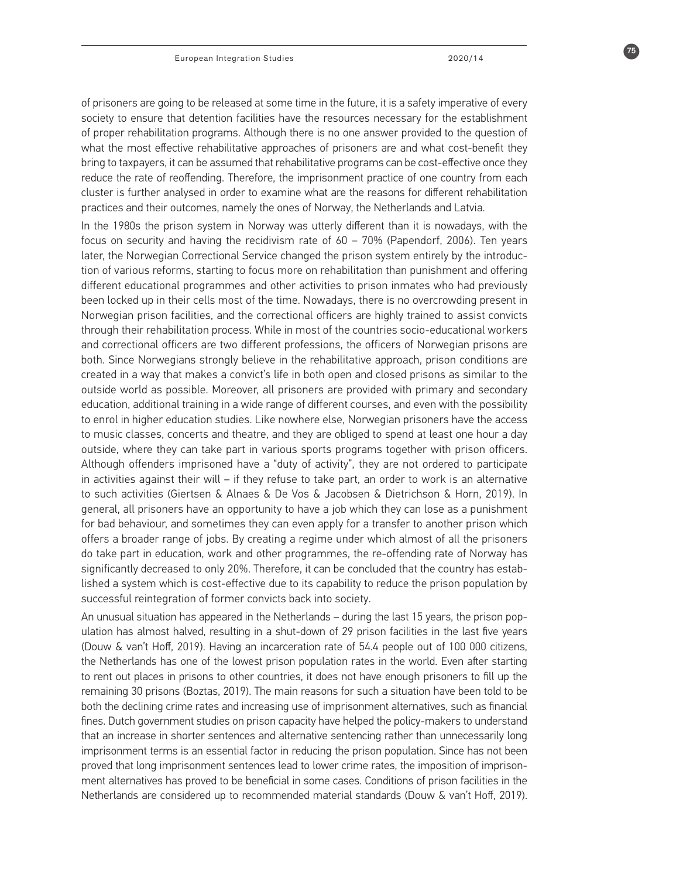of prisoners are going to be released at some time in the future, it is a safety imperative of every society to ensure that detention facilities have the resources necessary for the establishment of proper rehabilitation programs. Although there is no one answer provided to the question of what the most effective rehabilitative approaches of prisoners are and what cost-benefit they bring to taxpayers, it can be assumed that rehabilitative programs can be cost-effective once they reduce the rate of reoffending. Therefore, the imprisonment practice of one country from each cluster is further analysed in order to examine what are the reasons for different rehabilitation practices and their outcomes, namely the ones of Norway, the Netherlands and Latvia.

In the 1980s the prison system in Norway was utterly different than it is nowadays, with the focus on security and having the recidivism rate of 60 – 70% (Papendorf, 2006). Ten years later, the Norwegian Correctional Service changed the prison system entirely by the introduction of various reforms, starting to focus more on rehabilitation than punishment and offering different educational programmes and other activities to prison inmates who had previously been locked up in their cells most of the time. Nowadays, there is no overcrowding present in Norwegian prison facilities, and the correctional officers are highly trained to assist convicts through their rehabilitation process. While in most of the countries socio-educational workers and correctional officers are two different professions, the officers of Norwegian prisons are both. Since Norwegians strongly believe in the rehabilitative approach, prison conditions are created in a way that makes a convict's life in both open and closed prisons as similar to the outside world as possible. Moreover, all prisoners are provided with primary and secondary education, additional training in a wide range of different courses, and even with the possibility to enrol in higher education studies. Like nowhere else, Norwegian prisoners have the access to music classes, concerts and theatre, and they are obliged to spend at least one hour a day outside, where they can take part in various sports programs together with prison officers. Although offenders imprisoned have a "duty of activity", they are not ordered to participate in activities against their will – if they refuse to take part, an order to work is an alternative to such activities (Giertsen & Alnaes & De Vos & Jacobsen & Dietrichson & Horn, 2019). In general, all prisoners have an opportunity to have a job which they can lose as a punishment for bad behaviour, and sometimes they can even apply for a transfer to another prison which offers a broader range of jobs. By creating a regime under which almost of all the prisoners do take part in education, work and other programmes, the re-offending rate of Norway has significantly decreased to only 20%. Therefore, it can be concluded that the country has established a system which is cost-effective due to its capability to reduce the prison population by successful reintegration of former convicts back into society.

An unusual situation has appeared in the Netherlands – during the last 15 years, the prison population has almost halved, resulting in a shut-down of 29 prison facilities in the last five years (Douw & van't Hoff, 2019). Having an incarceration rate of 54.4 people out of 100 000 citizens, the Netherlands has one of the lowest prison population rates in the world. Even after starting to rent out places in prisons to other countries, it does not have enough prisoners to fill up the remaining 30 prisons (Boztas, 2019). The main reasons for such a situation have been told to be both the declining crime rates and increasing use of imprisonment alternatives, such as financial fines. Dutch government studies on prison capacity have helped the policy-makers to understand that an increase in shorter sentences and alternative sentencing rather than unnecessarily long imprisonment terms is an essential factor in reducing the prison population. Since has not been proved that long imprisonment sentences lead to lower crime rates, the imposition of imprisonment alternatives has proved to be beneficial in some cases. Conditions of prison facilities in the Netherlands are considered up to recommended material standards (Douw & van't Hoff, 2019).

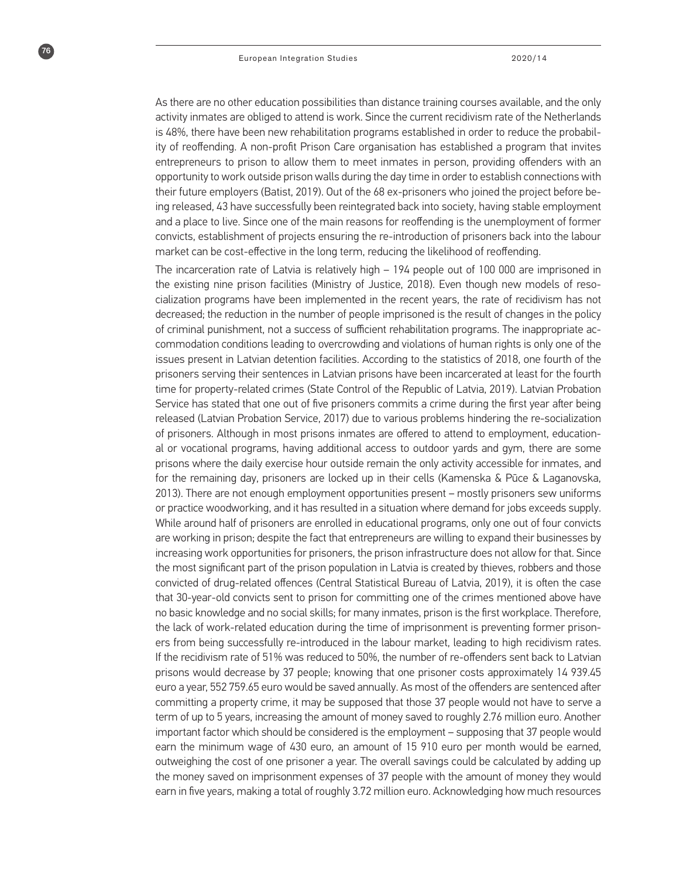$76$ 

As there are no other education possibilities than distance training courses available, and the only activity inmates are obliged to attend is work. Since the current recidivism rate of the Netherlands is 48%, there have been new rehabilitation programs established in order to reduce the probability of reoffending. A non-profit Prison Care organisation has established a program that invites entrepreneurs to prison to allow them to meet inmates in person, providing offenders with an opportunity to work outside prison walls during the day time in order to establish connections with their future employers (Batist, 2019). Out of the 68 ex-prisoners who joined the project before being released, 43 have successfully been reintegrated back into society, having stable employment and a place to live. Since one of the main reasons for reoffending is the unemployment of former convicts, establishment of projects ensuring the re-introduction of prisoners back into the labour market can be cost-effective in the long term, reducing the likelihood of reoffending.

The incarceration rate of Latvia is relatively high – 194 people out of 100 000 are imprisoned in the existing nine prison facilities (Ministry of Justice, 2018). Even though new models of resocialization programs have been implemented in the recent years, the rate of recidivism has not decreased; the reduction in the number of people imprisoned is the result of changes in the policy of criminal punishment, not a success of sufficient rehabilitation programs. The inappropriate accommodation conditions leading to overcrowding and violations of human rights is only one of the issues present in Latvian detention facilities. According to the statistics of 2018, one fourth of the prisoners serving their sentences in Latvian prisons have been incarcerated at least for the fourth time for property-related crimes (State Control of the Republic of Latvia, 2019). Latvian Probation Service has stated that one out of five prisoners commits a crime during the first year after being released (Latvian Probation Service, 2017) due to various problems hindering the re-socialization of prisoners. Although in most prisons inmates are offered to attend to employment, educational or vocational programs, having additional access to outdoor yards and gym, there are some prisons where the daily exercise hour outside remain the only activity accessible for inmates, and for the remaining day, prisoners are locked up in their cells (Kamenska & Pūce & Laganovska, 2013). There are not enough employment opportunities present – mostly prisoners sew uniforms or practice woodworking, and it has resulted in a situation where demand for jobs exceeds supply. While around half of prisoners are enrolled in educational programs, only one out of four convicts are working in prison; despite the fact that entrepreneurs are willing to expand their businesses by increasing work opportunities for prisoners, the prison infrastructure does not allow for that. Since the most significant part of the prison population in Latvia is created by thieves, robbers and those convicted of drug-related offences (Central Statistical Bureau of Latvia, 2019), it is often the case that 30-year-old convicts sent to prison for committing one of the crimes mentioned above have no basic knowledge and no social skills; for many inmates, prison is the first workplace. Therefore, the lack of work-related education during the time of imprisonment is preventing former prisoners from being successfully re-introduced in the labour market, leading to high recidivism rates. If the recidivism rate of 51% was reduced to 50%, the number of re-offenders sent back to Latvian prisons would decrease by 37 people; knowing that one prisoner costs approximately 14 939.45 euro a year, 552 759.65 euro would be saved annually. As most of the offenders are sentenced after committing a property crime, it may be supposed that those 37 people would not have to serve a term of up to 5 years, increasing the amount of money saved to roughly 2.76 million euro. Another important factor which should be considered is the employment – supposing that 37 people would earn the minimum wage of 430 euro, an amount of 15 910 euro per month would be earned, outweighing the cost of one prisoner a year. The overall savings could be calculated by adding up the money saved on imprisonment expenses of 37 people with the amount of money they would earn in five years, making a total of roughly 3.72 million euro. Acknowledging how much resources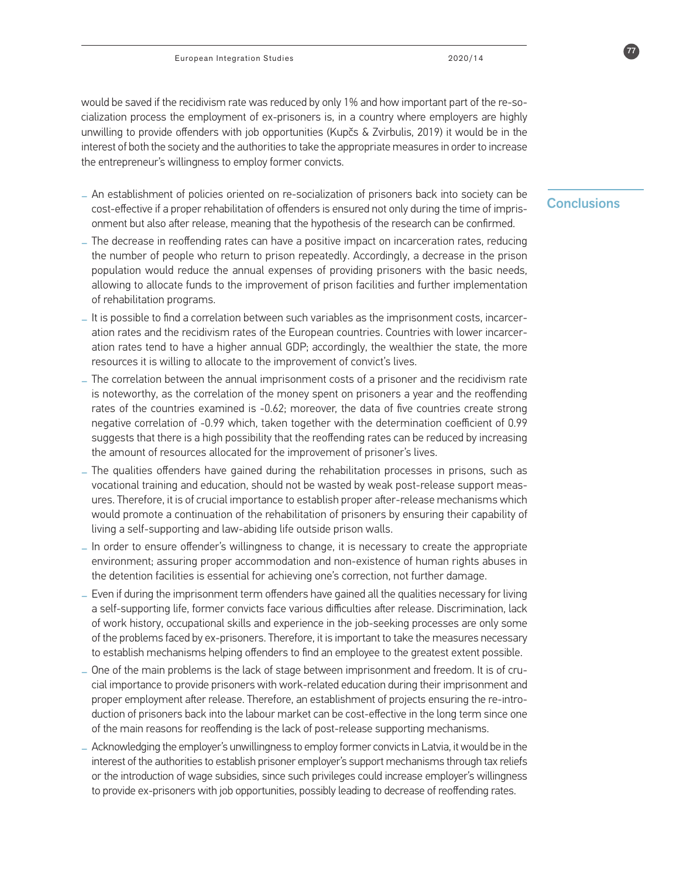would be saved if the recidivism rate was reduced by only 1% and how important part of the re-socialization process the employment of ex-prisoners is, in a country where employers are highly unwilling to provide offenders with job opportunities (Kupčs & Zvirbulis, 2019) it would be in the interest of both the society and the authorities to take the appropriate measures in order to increase the entrepreneur's willingness to employ former convicts.

- Conclusions **\_** An establishment of policies oriented on re-socialization of prisoners back into society can be cost-effective if a proper rehabilitation of offenders is ensured not only during the time of imprisonment but also after release, meaning that the hypothesis of the research can be confirmed.
- **\_** The decrease in reoffending rates can have a positive impact on incarceration rates, reducing the number of people who return to prison repeatedly. Accordingly, a decrease in the prison population would reduce the annual expenses of providing prisoners with the basic needs, allowing to allocate funds to the improvement of prison facilities and further implementation of rehabilitation programs.
- **\_** It is possible to find a correlation between such variables as the imprisonment costs, incarceration rates and the recidivism rates of the European countries. Countries with lower incarceration rates tend to have a higher annual GDP; accordingly, the wealthier the state, the more resources it is willing to allocate to the improvement of convict's lives.
- **\_** The correlation between the annual imprisonment costs of a prisoner and the recidivism rate is noteworthy, as the correlation of the money spent on prisoners a year and the reoffending rates of the countries examined is -0.62; moreover, the data of five countries create strong negative correlation of -0.99 which, taken together with the determination coefficient of 0.99 suggests that there is a high possibility that the reoffending rates can be reduced by increasing the amount of resources allocated for the improvement of prisoner's lives.
- **\_** The qualities offenders have gained during the rehabilitation processes in prisons, such as vocational training and education, should not be wasted by weak post-release support measures. Therefore, it is of crucial importance to establish proper after-release mechanisms which would promote a continuation of the rehabilitation of prisoners by ensuring their capability of living a self-supporting and law-abiding life outside prison walls.
- **\_** In order to ensure offender's willingness to change, it is necessary to create the appropriate environment; assuring proper accommodation and non-existence of human rights abuses in the detention facilities is essential for achieving one's correction, not further damage.
- **\_** Even if during the imprisonment term offenders have gained all the qualities necessary for living a self-supporting life, former convicts face various difficulties after release. Discrimination, lack of work history, occupational skills and experience in the job-seeking processes are only some of the problems faced by ex-prisoners. Therefore, it is important to take the measures necessary to establish mechanisms helping offenders to find an employee to the greatest extent possible.
- **\_** One of the main problems is the lack of stage between imprisonment and freedom. It is of crucial importance to provide prisoners with work-related education during their imprisonment and proper employment after release. Therefore, an establishment of projects ensuring the re-introduction of prisoners back into the labour market can be cost-effective in the long term since one of the main reasons for reoffending is the lack of post-release supporting mechanisms.
- **\_** Acknowledging the employer's unwillingness to employ former convicts in Latvia, it would be in the interest of the authorities to establish prisoner employer's support mechanisms through tax reliefs or the introduction of wage subsidies, since such privileges could increase employer's willingness to provide ex-prisoners with job opportunities, possibly leading to decrease of reoffending rates.

77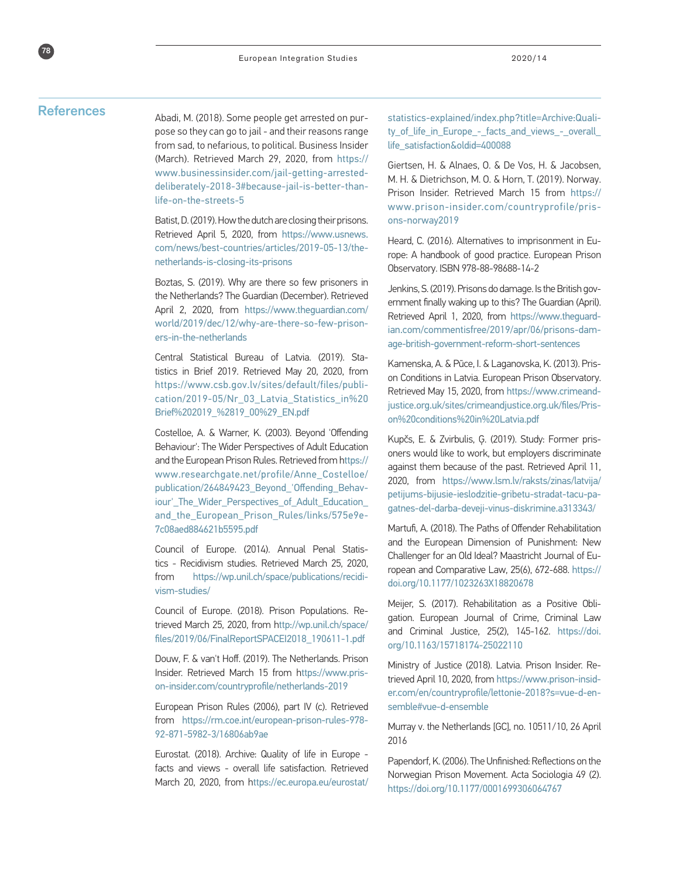78

References<br>Abadi, M. (2018). Some people get arrested on purpose so they can go to jail - and their reasons range from sad, to nefarious, to political. Business Insider (March). Retrieved March 29, 2020, from https:// www.businessinsider.com/jail-getting-arresteddeliberately-2018-3#because-jail-is-better-thanlife-on-the-streets-5

> Batist, D. (2019). How the dutch are closing their prisons. Retrieved April 5, 2020, from https://www.usnews. com/news/best-countries/articles/2019-05-13/thenetherlands-is-closing-its-prisons

> Boztas, S. (2019). Why are there so few prisoners in the Netherlands? The Guardian (December). Retrieved April 2, 2020, from https://www.theguardian.com/ world/2019/dec/12/why-are-there-so-few-prisoners-in-the-netherlands

> Central Statistical Bureau of Latvia. (2019). Statistics in Brief 2019. Retrieved May 20, 2020, from https://www.csb.gov.lv/sites/default/files/publication/2019-05/Nr\_03\_Latvia\_Statistics\_in%20 Brief%202019\_%2819\_00%29\_EN.pdf

> Costelloe, A. & Warner, K. (2003). Beyond 'Offending Behaviour': The Wider Perspectives of Adult Education and the European Prison Rules. Retrieved from https:// www.researchgate.net/profile/Anne\_Costelloe/ publication/264849423\_Beyond\_'Offending\_Behaviour'\_The\_Wider\_Perspectives\_of\_Adult\_Education\_ and\_the\_European\_Prison\_Rules/links/575e9e-7c08aed884621b5595.pdf

> Council of Europe. (2014). Annual Penal Statistics - Recidivism studies. Retrieved March 25, 2020, from https://wp.unil.ch/space/publications/recidivism-studies/

> Council of Europe. (2018). Prison Populations. Retrieved March 25, 2020, from http://wp.unil.ch/space/ files/2019/06/FinalReportSPACEI2018\_190611-1.pdf

> Douw, F. & van't Hoff. (2019). The Netherlands. Prison Insider. Retrieved March 15 from https://www.prison-insider.com/countryprofile/netherlands-2019

> European Prison Rules (2006), part IV (c). Retrieved from https://rm.coe.int/european-prison-rules-978- 92-871-5982-3/16806ab9ae

> Eurostat. (2018). Archive: Quality of life in Europe facts and views - overall life satisfaction. Retrieved March 20, 2020, from https://ec.europa.eu/eurostat/

statistics-explained/index.php?title=Archive:Quality of life in Europe - facts and views - overall life\_satisfaction&oldid=400088

Giertsen, H. & Alnaes, O. & De Vos, H. & Jacobsen, M. H. & Dietrichson, M. O. & Horn, T. (2019). Norway. Prison Insider. Retrieved March 15 from https:// www.prison-insider.com/countryprofile/prisons-norway2019

Heard, C. (2016). Alternatives to imprisonment in Europe: A handbook of good practice. European Prison Observatory. ISBN 978-88-98688-14-2

Jenkins, S. (2019). Prisons do damage. Is the British government finally waking up to this? The Guardian (April). Retrieved April 1, 2020, from https://www.theguardian.com/commentisfree/2019/apr/06/prisons-damage-british-government-reform-short-sentences

Kamenska, A. & Pūce, I. & Laganovska, K. (2013). Prison Conditions in Latvia. European Prison Observatory. Retrieved May 15, 2020, from https://www.crimeandjustice.org.uk/sites/crimeandjustice.org.uk/files/Prison%20conditions%20in%20Latvia.pdf

Kupčs, E. & Zvirbulis, Ģ. (2019). Study: Former prisoners would like to work, but employers discriminate against them because of the past. Retrieved April 11, 2020, from https://www.lsm.lv/raksts/zinas/latvija/ petijums-bijusie-ieslodzitie-gribetu-stradat-tacu-pagatnes-del-darba-deveji-vinus-diskrimine.a313343/

Martufi, A. (2018). The Paths of Offender Rehabilitation and the European Dimension of Punishment: New Challenger for an Old Ideal? Maastricht Journal of European and Comparative Law, 25(6), 672-688. https:// doi.org/10.1177/1023263X18820678

Meijer, S. (2017). Rehabilitation as a Positive Obligation. European Journal of Crime, Criminal Law and Criminal Justice, 25(2), 145-162. https://doi. org/10.1163/15718174-25022110

Ministry of Justice (2018). Latvia. Prison Insider. Retrieved April 10, 2020, from https://www.prison-insider.com/en/countryprofile/lettonie-2018?s=vue-d-ensemble#vue-d-ensemble

Murray v. the Netherlands [GC], no. 10511/10, 26 April 2016

Papendorf, K. (2006). The Unfinished: Reflections on the Norwegian Prison Movement. Acta Sociologia 49 (2). https://doi.org/10.1177/0001699306064767